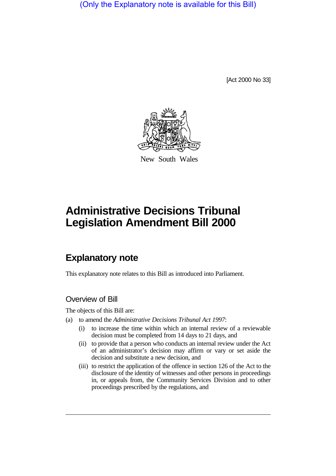(Only the Explanatory note is available for this Bill)

[Act 2000 No 33]



New South Wales

# **Administrative Decisions Tribunal Legislation Amendment Bill 2000**

# **Explanatory note**

This explanatory note relates to this Bill as introduced into Parliament.

### Overview of Bill

The objects of this Bill are:

- (a) to amend the *Administrative Decisions Tribunal Act 1997*:
	- (i) to increase the time within which an internal review of a reviewable decision must be completed from 14 days to 21 days, and
	- (ii) to provide that a person who conducts an internal review under the Act of an administrator's decision may affirm or vary or set aside the decision and substitute a new decision, and
	- (iii) to restrict the application of the offence in section 126 of the Act to the disclosure of the identity of witnesses and other persons in proceedings in, or appeals from, the Community Services Division and to other proceedings prescribed by the regulations, and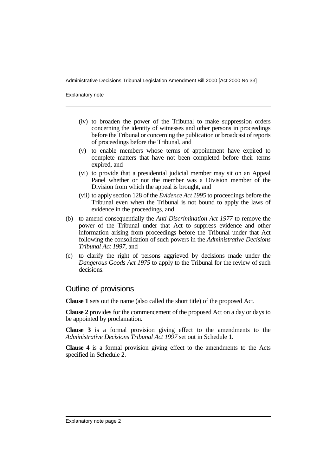Explanatory note

- (iv) to broaden the power of the Tribunal to make suppression orders concerning the identity of witnesses and other persons in proceedings before the Tribunal or concerning the publication or broadcast of reports of proceedings before the Tribunal, and
- (v) to enable members whose terms of appointment have expired to complete matters that have not been completed before their terms expired, and
- (vi) to provide that a presidential judicial member may sit on an Appeal Panel whether or not the member was a Division member of the Division from which the appeal is brought, and
- (vii) to apply section 128 of the *Evidence Act 1995* to proceedings before the Tribunal even when the Tribunal is not bound to apply the laws of evidence in the proceedings, and
- (b) to amend consequentially the *Anti-Discrimination Act 1977* to remove the power of the Tribunal under that Act to suppress evidence and other information arising from proceedings before the Tribunal under that Act following the consolidation of such powers in the *Administrative Decisions Tribunal Act 1997*, and
- (c) to clarify the right of persons aggrieved by decisions made under the *Dangerous Goods Act 1975* to apply to the Tribunal for the review of such decisions.

#### Outline of provisions

**Clause 1** sets out the name (also called the short title) of the proposed Act.

**Clause 2** provides for the commencement of the proposed Act on a day or days to be appointed by proclamation.

**Clause 3** is a formal provision giving effect to the amendments to the *Administrative Decisions Tribunal Act 1997* set out in Schedule 1.

**Clause 4** is a formal provision giving effect to the amendments to the Acts specified in Schedule 2.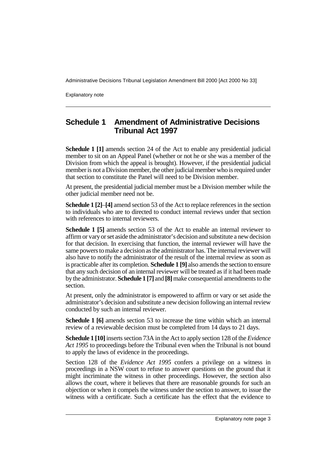Explanatory note

## **Schedule 1 Amendment of Administrative Decisions Tribunal Act 1997**

**Schedule 1 [1]** amends section 24 of the Act to enable any presidential judicial member to sit on an Appeal Panel (whether or not he or she was a member of the Division from which the appeal is brought). However, if the presidential judicial member is not a Division member, the other judicial member who is required under that section to constitute the Panel will need to be Division member.

At present, the presidential judicial member must be a Division member while the other judicial member need not be.

**Schedule 1 [2]**–**[4]** amend section 53 of the Act to replace references in the section to individuals who are to directed to conduct internal reviews under that section with references to internal reviewers.

**Schedule 1 [5]** amends section 53 of the Act to enable an internal reviewer to affirm or vary or set aside the administrator's decision and substitute a new decision for that decision. In exercising that function, the internal reviewer will have the same powers to make a decision as the administrator has. The internal reviewer will also have to notify the administrator of the result of the internal review as soon as is practicable after its completion. **Schedule 1 [9]** also amends the section to ensure that any such decision of an internal reviewer will be treated as if it had been made by the administrator. **Schedule 1 [7]** and **[8]** make consequential amendments to the section.

At present, only the administrator is empowered to affirm or vary or set aside the administrator's decision and substitute a new decision following an internal review conducted by such an internal reviewer.

**Schedule 1 [6]** amends section 53 to increase the time within which an internal review of a reviewable decision must be completed from 14 days to 21 days.

**Schedule 1 [10]** inserts section 73A in the Act to apply section 128 of the *Evidence Act 1995* to proceedings before the Tribunal even when the Tribunal is not bound to apply the laws of evidence in the proceedings.

Section 128 of the *Evidence Act 1995* confers a privilege on a witness in proceedings in a NSW court to refuse to answer questions on the ground that it might incriminate the witness in other proceedings. However, the section also allows the court, where it believes that there are reasonable grounds for such an objection or when it compels the witness under the section to answer, to issue the witness with a certificate. Such a certificate has the effect that the evidence to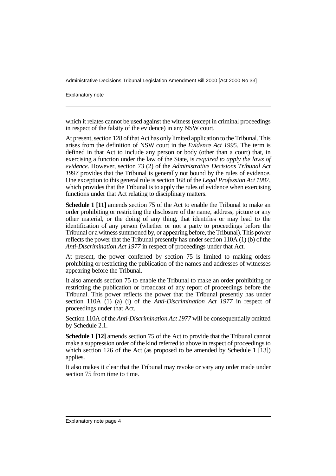Explanatory note

which it relates cannot be used against the witness (except in criminal proceedings) in respect of the falsity of the evidence) in any NSW court.

At present, section 128 of that Act has only limited application to the Tribunal. This arises from the definition of NSW court in the *Evidence Act 1995*. The term is defined in that Act to include any person or body (other than a court) that, in exercising a function under the law of the State, is *required to apply the laws of evidence*. However, section 73 (2) of the *Administrative Decisions Tribunal Act 1997* provides that the Tribunal is generally not bound by the rules of evidence. One exception to this general rule is section 168 of the *Legal Profession Act 1987*, which provides that the Tribunal is to apply the rules of evidence when exercising functions under that Act relating to disciplinary matters.

**Schedule 1 [11]** amends section 75 of the Act to enable the Tribunal to make an order prohibiting or restricting the disclosure of the name, address, picture or any other material, or the doing of any thing, that identifies or may lead to the identification of any person (whether or not a party to proceedings before the Tribunal or a witness summoned by, or appearing before, the Tribunal). This power reflects the power that the Tribunal presently has under section 110A (1) (b) of the *Anti-Discrimination Act 1977* in respect of proceedings under that Act.

At present, the power conferred by section 75 is limited to making orders prohibiting or restricting the publication of the names and addresses of witnesses appearing before the Tribunal.

It also amends section 75 to enable the Tribunal to make an order prohibiting or restricting the publication or broadcast of any report of proceedings before the Tribunal. This power reflects the power that the Tribunal presently has under section 110A (1) (a) (i) of the *Anti-Discrimination Act 1977* in respect of proceedings under that Act.

Section 110A of the *Anti-Discrimination Act 1977* will be consequentially omitted by Schedule 2.1.

**Schedule 1 [12]** amends section 75 of the Act to provide that the Tribunal cannot make a suppression order of the kind referred to above in respect of proceedings to which section 126 of the Act (as proposed to be amended by Schedule 1 [13]) applies.

It also makes it clear that the Tribunal may revoke or vary any order made under section 75 from time to time.